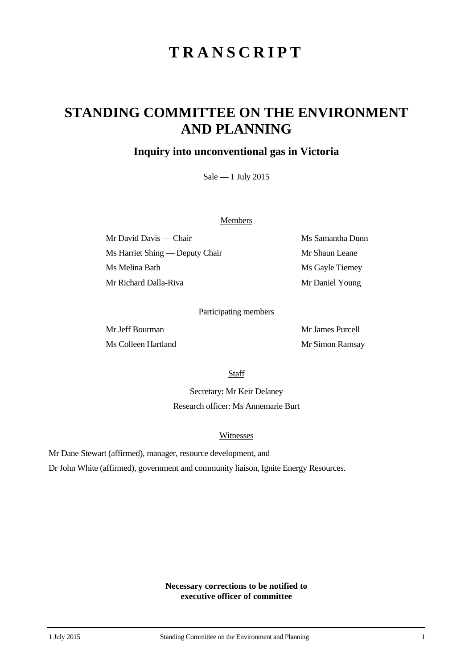# **TRANSCRIPT**

## **STANDING COMMITTEE ON THE ENVIRONMENT AND PLANNING**

## **Inquiry into unconventional gas in Victoria**

Sale — 1 July 2015

#### **Members**

Mr David Davis — Chair Ms Samantha Dunn Ms Harriet Shing — Deputy Chair Mr Shaun Leane Ms Melina Bath Ms Gayle Tierney Mr Richard Dalla-Riva Mr Daniel Young

#### Participating members

Mr Jeff Bourman Mr James Purcell Ms Colleen Hartland Mr Simon Ramsay

**Staff** 

Secretary: Mr Keir Delaney Research officer: Ms Annemarie Burt

#### Witnesses

Mr Dane Stewart (affirmed), manager, resource development, and

Dr John White (affirmed), government and community liaison, Ignite Energy Resources.

**Necessary corrections to be notified to executive officer of committee**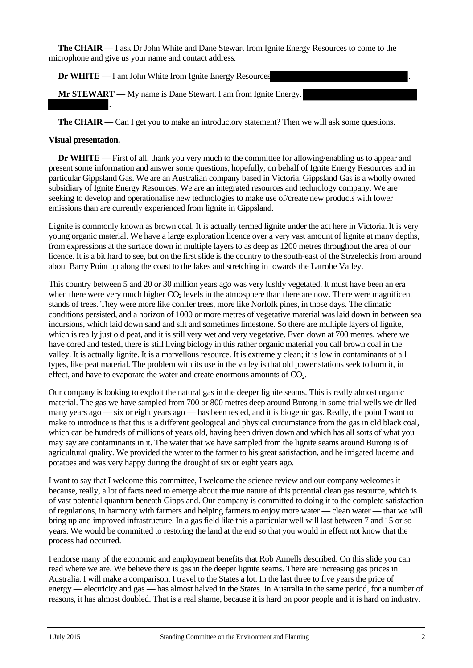**The CHAIR** — I ask Dr John White and Dane Stewart from Ignite Energy Resources to come to the microphone and give us your name and contact address.

**Dr WHITE** — I am John White from Ignite Energy Resources

**Mr STEWART** — My name is Dane Stewart. I am from Ignite Energy.

**The CHAIR** — Can I get you to make an introductory statement? Then we will ask some questions.

#### **Visual presentation.**

.

**Dr WHITE** — First of all, thank you very much to the committee for allowing/enabling us to appear and present some information and answer some questions, hopefully, on behalf of Ignite Energy Resources and in particular Gippsland Gas. We are an Australian company based in Victoria. Gippsland Gas is a wholly owned subsidiary of Ignite Energy Resources. We are an integrated resources and technology company. We are seeking to develop and operationalise new technologies to make use of/create new products with lower emissions than are currently experienced from lignite in Gippsland.

Lignite is commonly known as brown coal. It is actually termed lignite under the act here in Victoria. It is very young organic material. We have a large exploration licence over a very vast amount of lignite at many depths, from expressions at the surface down in multiple layers to as deep as 1200 metres throughout the area of our licence. It is a bit hard to see, but on the first slide is the country to the south-east of the Strzeleckis from around about Barry Point up along the coast to the lakes and stretching in towards the Latrobe Valley.

This country between 5 and 20 or 30 million years ago was very lushly vegetated. It must have been an era when there were very much higher  $CO<sub>2</sub>$  levels in the atmosphere than there are now. There were magnificent stands of trees. They were more like conifer trees, more like Norfolk pines, in those days. The climatic conditions persisted, and a horizon of 1000 or more metres of vegetative material was laid down in between sea incursions, which laid down sand and silt and sometimes limestone. So there are multiple layers of lignite, which is really just old peat, and it is still very wet and very vegetative. Even down at 700 metres, where we have cored and tested, there is still living biology in this rather organic material you call brown coal in the valley. It is actually lignite. It is a marvellous resource. It is extremely clean; it is low in contaminants of all types, like peat material. The problem with its use in the valley is that old power stations seek to burn it, in effect, and have to evaporate the water and create enormous amounts of  $CO<sub>2</sub>$ .

Our company is looking to exploit the natural gas in the deeper lignite seams. This is really almost organic material. The gas we have sampled from 700 or 800 metres deep around Burong in some trial wells we drilled many years ago — six or eight years ago — has been tested, and it is biogenic gas. Really, the point I want to make to introduce is that this is a different geological and physical circumstance from the gas in old black coal, which can be hundreds of millions of years old, having been driven down and which has all sorts of what you may say are contaminants in it. The water that we have sampled from the lignite seams around Burong is of agricultural quality. We provided the water to the farmer to his great satisfaction, and he irrigated lucerne and potatoes and was very happy during the drought of six or eight years ago.

I want to say that I welcome this committee, I welcome the science review and our company welcomes it because, really, a lot of facts need to emerge about the true nature of this potential clean gas resource, which is of vast potential quantum beneath Gippsland. Our company is committed to doing it to the complete satisfaction of regulations, in harmony with farmers and helping farmers to enjoy more water — clean water — that we will bring up and improved infrastructure. In a gas field like this a particular well will last between 7 and 15 or so years. We would be committed to restoring the land at the end so that you would in effect not know that the process had occurred.

I endorse many of the economic and employment benefits that Rob Annells described. On this slide you can read where we are. We believe there is gas in the deeper lignite seams. There are increasing gas prices in Australia. I will make a comparison. I travel to the States a lot. In the last three to five years the price of energy — electricity and gas — has almost halved in the States. In Australia in the same period, for a number of reasons, it has almost doubled. That is a real shame, because it is hard on poor people and it is hard on industry.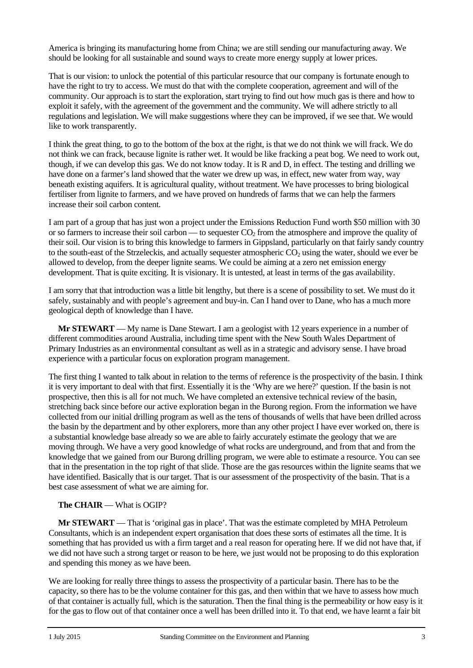America is bringing its manufacturing home from China; we are still sending our manufacturing away. We should be looking for all sustainable and sound ways to create more energy supply at lower prices.

That is our vision: to unlock the potential of this particular resource that our company is fortunate enough to have the right to try to access. We must do that with the complete cooperation, agreement and will of the community. Our approach is to start the exploration, start trying to find out how much gas is there and how to exploit it safely, with the agreement of the government and the community. We will adhere strictly to all regulations and legislation. We will make suggestions where they can be improved, if we see that. We would like to work transparently.

I think the great thing, to go to the bottom of the box at the right, is that we do not think we will frack. We do not think we can frack, because lignite is rather wet. It would be like fracking a peat bog. We need to work out, though, if we can develop this gas. We do not know today. It is R and D, in effect. The testing and drilling we have done on a farmer's land showed that the water we drew up was, in effect, new water from way, way beneath existing aquifers. It is agricultural quality, without treatment. We have processes to bring biological fertiliser from lignite to farmers, and we have proved on hundreds of farms that we can help the farmers increase their soil carbon content.

I am part of a group that has just won a project under the Emissions Reduction Fund worth \$50 million with 30 or so farmers to increase their soil carbon — to sequester  $CO<sub>2</sub>$  from the atmosphere and improve the quality of their soil. Our vision is to bring this knowledge to farmers in Gippsland, particularly on that fairly sandy country to the south-east of the Strzeleckis, and actually sequester atmospheric  $CO_2$  using the water, should we ever be allowed to develop, from the deeper lignite seams. We could be aiming at a zero net emission energy development. That is quite exciting. It is visionary. It is untested, at least in terms of the gas availability.

I am sorry that that introduction was a little bit lengthy, but there is a scene of possibility to set. We must do it safely, sustainably and with people's agreement and buy-in. Can I hand over to Dane, who has a much more geological depth of knowledge than I have.

**Mr STEWART** — My name is Dane Stewart. I am a geologist with 12 years experience in a number of different commodities around Australia, including time spent with the New South Wales Department of Primary Industries as an environmental consultant as well as in a strategic and advisory sense. I have broad experience with a particular focus on exploration program management.

The first thing I wanted to talk about in relation to the terms of reference is the prospectivity of the basin. I think it is very important to deal with that first. Essentially it is the 'Why are we here?' question. If the basin is not prospective, then this is all for not much. We have completed an extensive technical review of the basin, stretching back since before our active exploration began in the Burong region. From the information we have collected from our initial drilling program as well as the tens of thousands of wells that have been drilled across the basin by the department and by other explorers, more than any other project I have ever worked on, there is a substantial knowledge base already so we are able to fairly accurately estimate the geology that we are moving through. We have a very good knowledge of what rocks are underground, and from that and from the knowledge that we gained from our Burong drilling program, we were able to estimate a resource. You can see that in the presentation in the top right of that slide. Those are the gas resources within the lignite seams that we have identified. Basically that is our target. That is our assessment of the prospectivity of the basin. That is a best case assessment of what we are aiming for.

#### **The CHAIR** — What is OGIP?

**Mr STEWART** — That is 'original gas in place'. That was the estimate completed by MHA Petroleum Consultants, which is an independent expert organisation that does these sorts of estimates all the time. It is something that has provided us with a firm target and a real reason for operating here. If we did not have that, if we did not have such a strong target or reason to be here, we just would not be proposing to do this exploration and spending this money as we have been.

We are looking for really three things to assess the prospectivity of a particular basin. There has to be the capacity, so there has to be the volume container for this gas, and then within that we have to assess how much of that container is actually full, which is the saturation. Then the final thing is the permeability or how easy is it for the gas to flow out of that container once a well has been drilled into it. To that end, we have learnt a fair bit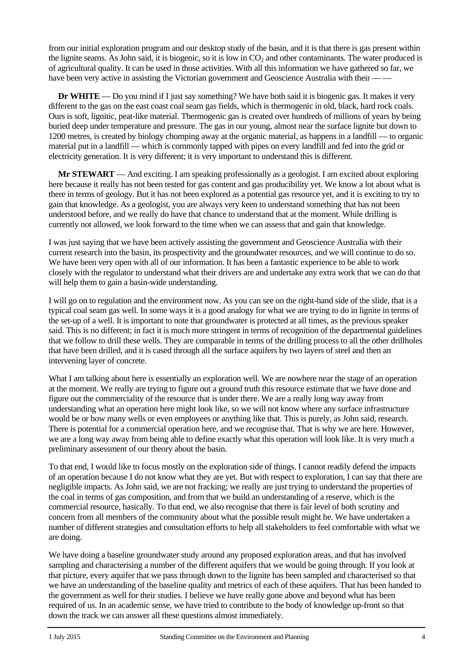from our initial exploration program and our desktop study of the basin, and it is that there is gas present within the lignite seams. As John said, it is biogenic, so it is low in  $CO<sub>2</sub>$  and other contaminants. The water produced is of agricultural quality. It can be used in those activities. With all this information we have gathered so far, we have been very active in assisting the Victorian government and Geoscience Australia with their —

**Dr WHITE** — Do you mind if I just say something? We have both said it is biogenic gas. It makes it very different to the gas on the east coast coal seam gas fields, which is thermogenic in old, black, hard rock coals. Ours is soft, lignitic, peat-like material. Thermogenic gas is created over hundreds of millions of years by being buried deep under temperature and pressure. The gas in our young, almost near the surface lignite but down to 1200 metres, is created by biology chomping away at the organic material, as happens in a landfill — to organic material put in a landfill — which is commonly tapped with pipes on every landfill and fed into the grid or electricity generation. It is very different; it is very important to understand this is different.

**Mr STEWART** — And exciting. I am speaking professionally as a geologist. I am excited about exploring here because it really has not been tested for gas content and gas producibility yet. We know a lot about what is there in terms of geology. But it has not been explored as a potential gas resource yet, and it is exciting to try to gain that knowledge. As a geologist, you are always very keen to understand something that has not been understood before, and we really do have that chance to understand that at the moment. While drilling is currently not allowed, we look forward to the time when we can assess that and gain that knowledge.

I was just saying that we have been actively assisting the government and Geoscience Australia with their current research into the basin, its prospectivity and the groundwater resources, and we will continue to do so. We have been very open with all of our information. It has been a fantastic experience to be able to work closely with the regulator to understand what their drivers are and undertake any extra work that we can do that will help them to gain a basin-wide understanding.

I will go on to regulation and the environment now. As you can see on the right-hand side of the slide, that is a typical coal seam gas well. In some ways it is a good analogy for what we are trying to do in lignite in terms of the set-up of a well. It is important to note that groundwater is protected at all times, as the previous speaker said. This is no different; in fact it is much more stringent in terms of recognition of the departmental guidelines that we follow to drill these wells. They are comparable in terms of the drilling process to all the other drillholes that have been drilled, and it is cased through all the surface aquifers by two layers of steel and then an intervening layer of concrete.

What I am talking about here is essentially an exploration well. We are nowhere near the stage of an operation at the moment. We really are trying to figure out a ground truth this resource estimate that we have done and figure out the commerciality of the resource that is under there. We are a really long way away from understanding what an operation here might look like, so we will not know where any surface infrastructure would be or how many wells or even employees or anything like that. This is purely, as John said, research. There is potential for a commercial operation here, and we recognise that. That is why we are here. However, we are a long way away from being able to define exactly what this operation will look like. It is very much a preliminary assessment of our theory about the basin.

To that end, I would like to focus mostly on the exploration side of things. I cannot readily defend the impacts of an operation because I do not know what they are yet. But with respect to exploration, I can say that there are negligible impacts. As John said, we are not fracking; we really are just trying to understand the properties of the coal in terms of gas composition, and from that we build an understanding of a reserve, which is the commercial resource, basically. To that end, we also recognise that there is fair level of both scrutiny and concern from all members of the community about what the possible result might be. We have undertaken a number of different strategies and consultation efforts to help all stakeholders to feel comfortable with what we are doing.

We have doing a baseline groundwater study around any proposed exploration areas, and that has involved sampling and characterising a number of the different aquifers that we would be going through. If you look at that picture, every aquifer that we pass through down to the lignite has been sampled and characterised so that we have an understanding of the baseline quality and metrics of each of these aquifers. That has been handed to the government as well for their studies. I believe we have really gone above and beyond what has been required of us. In an academic sense, we have tried to contribute to the body of knowledge up-front so that down the track we can answer all these questions almost immediately.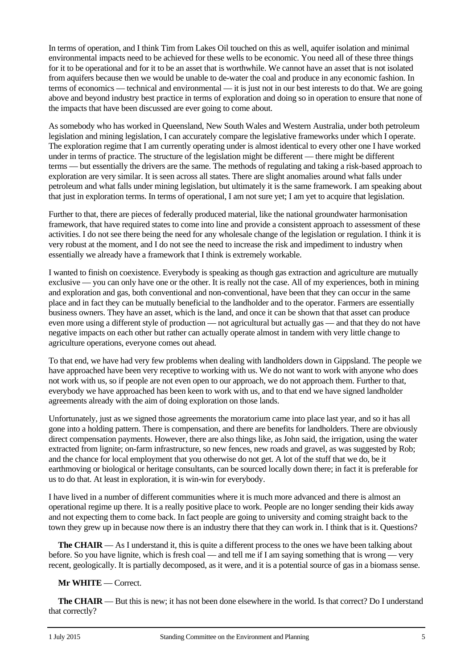In terms of operation, and I think Tim from Lakes Oil touched on this as well, aquifer isolation and minimal environmental impacts need to be achieved for these wells to be economic. You need all of these three things for it to be operational and for it to be an asset that is worthwhile. We cannot have an asset that is not isolated from aquifers because then we would be unable to de-water the coal and produce in any economic fashion. In terms of economics — technical and environmental — it is just not in our best interests to do that. We are going above and beyond industry best practice in terms of exploration and doing so in operation to ensure that none of the impacts that have been discussed are ever going to come about.

As somebody who has worked in Queensland, New South Wales and Western Australia, under both petroleum legislation and mining legislation, I can accurately compare the legislative frameworks under which I operate. The exploration regime that I am currently operating under is almost identical to every other one I have worked under in terms of practice. The structure of the legislation might be different — there might be different terms — but essentially the drivers are the same. The methods of regulating and taking a risk-based approach to exploration are very similar. It is seen across all states. There are slight anomalies around what falls under petroleum and what falls under mining legislation, but ultimately it is the same framework. I am speaking about that just in exploration terms. In terms of operational, I am not sure yet; I am yet to acquire that legislation.

Further to that, there are pieces of federally produced material, like the national groundwater harmonisation framework, that have required states to come into line and provide a consistent approach to assessment of these activities. I do not see there being the need for any wholesale change of the legislation or regulation. I think it is very robust at the moment, and I do not see the need to increase the risk and impediment to industry when essentially we already have a framework that I think is extremely workable.

I wanted to finish on coexistence. Everybody is speaking as though gas extraction and agriculture are mutually exclusive — you can only have one or the other. It is really not the case. All of my experiences, both in mining and exploration and gas, both conventional and non-conventional, have been that they can occur in the same place and in fact they can be mutually beneficial to the landholder and to the operator. Farmers are essentially business owners. They have an asset, which is the land, and once it can be shown that that asset can produce even more using a different style of production — not agricultural but actually gas — and that they do not have negative impacts on each other but rather can actually operate almost in tandem with very little change to agriculture operations, everyone comes out ahead.

To that end, we have had very few problems when dealing with landholders down in Gippsland. The people we have approached have been very receptive to working with us. We do not want to work with anyone who does not work with us, so if people are not even open to our approach, we do not approach them. Further to that, everybody we have approached has been keen to work with us, and to that end we have signed landholder agreements already with the aim of doing exploration on those lands.

Unfortunately, just as we signed those agreements the moratorium came into place last year, and so it has all gone into a holding pattern. There is compensation, and there are benefits for landholders. There are obviously direct compensation payments. However, there are also things like, as John said, the irrigation, using the water extracted from lignite; on-farm infrastructure, so new fences, new roads and gravel, as was suggested by Rob; and the chance for local employment that you otherwise do not get. A lot of the stuff that we do, be it earthmoving or biological or heritage consultants, can be sourced locally down there; in fact it is preferable for us to do that. At least in exploration, it is win-win for everybody.

I have lived in a number of different communities where it is much more advanced and there is almost an operational regime up there. It is a really positive place to work. People are no longer sending their kids away and not expecting them to come back. In fact people are going to university and coming straight back to the town they grew up in because now there is an industry there that they can work in. I think that is it. Questions?

**The CHAIR** — As I understand it, this is quite a different process to the ones we have been talking about before. So you have lignite, which is fresh coal — and tell me if I am saying something that is wrong — very recent, geologically. It is partially decomposed, as it were, and it is a potential source of gas in a biomass sense.

### **Mr WHITE** — Correct.

**The CHAIR** — But this is new; it has not been done elsewhere in the world. Is that correct? Do I understand that correctly?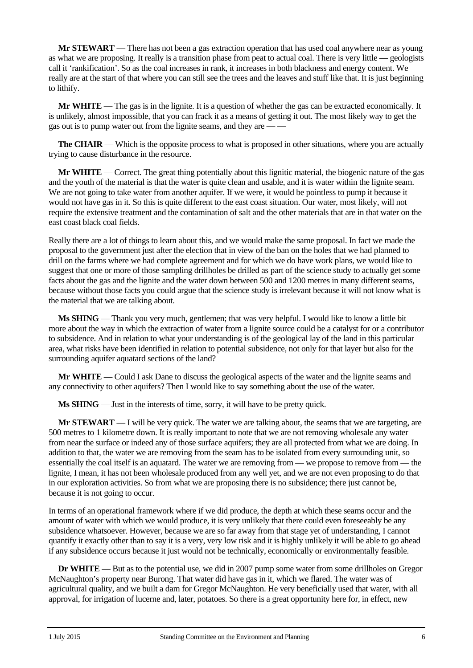**Mr STEWART** — There has not been a gas extraction operation that has used coal anywhere near as young as what we are proposing. It really is a transition phase from peat to actual coal. There is very little — geologists call it 'rankification'. So as the coal increases in rank, it increases in both blackness and energy content. We really are at the start of that where you can still see the trees and the leaves and stuff like that. It is just beginning to lithify.

**Mr WHITE** — The gas is in the lignite. It is a question of whether the gas can be extracted economically. It is unlikely, almost impossible, that you can frack it as a means of getting it out. The most likely way to get the gas out is to pump water out from the lignite seams, and they are — —

**The CHAIR** — Which is the opposite process to what is proposed in other situations, where you are actually trying to cause disturbance in the resource.

**Mr WHITE** — Correct. The great thing potentially about this lignitic material, the biogenic nature of the gas and the youth of the material is that the water is quite clean and usable, and it is water within the lignite seam. We are not going to take water from another aquifer. If we were, it would be pointless to pump it because it would not have gas in it. So this is quite different to the east coast situation. Our water, most likely, will not require the extensive treatment and the contamination of salt and the other materials that are in that water on the east coast black coal fields.

Really there are a lot of things to learn about this, and we would make the same proposal. In fact we made the proposal to the government just after the election that in view of the ban on the holes that we had planned to drill on the farms where we had complete agreement and for which we do have work plans, we would like to suggest that one or more of those sampling drillholes be drilled as part of the science study to actually get some facts about the gas and the lignite and the water down between 500 and 1200 metres in many different seams, because without those facts you could argue that the science study is irrelevant because it will not know what is the material that we are talking about.

**Ms SHING** — Thank you very much, gentlemen; that was very helpful. I would like to know a little bit more about the way in which the extraction of water from a lignite source could be a catalyst for or a contributor to subsidence. And in relation to what your understanding is of the geological lay of the land in this particular area, what risks have been identified in relation to potential subsidence, not only for that layer but also for the surrounding aquifer aquatard sections of the land?

**Mr WHITE** — Could I ask Dane to discuss the geological aspects of the water and the lignite seams and any connectivity to other aquifers? Then I would like to say something about the use of the water.

**Ms SHING** — Just in the interests of time, sorry, it will have to be pretty quick.

**Mr STEWART** — I will be very quick. The water we are talking about, the seams that we are targeting, are 500 metres to 1 kilometre down. It is really important to note that we are not removing wholesale any water from near the surface or indeed any of those surface aquifers; they are all protected from what we are doing. In addition to that, the water we are removing from the seam has to be isolated from every surrounding unit, so essentially the coal itself is an aquatard. The water we are removing from — we propose to remove from — the lignite, I mean, it has not been wholesale produced from any well yet, and we are not even proposing to do that in our exploration activities. So from what we are proposing there is no subsidence; there just cannot be, because it is not going to occur.

In terms of an operational framework where if we did produce, the depth at which these seams occur and the amount of water with which we would produce, it is very unlikely that there could even foreseeably be any subsidence whatsoever. However, because we are so far away from that stage yet of understanding, I cannot quantify it exactly other than to say it is a very, very low risk and it is highly unlikely it will be able to go ahead if any subsidence occurs because it just would not be technically, economically or environmentally feasible.

**Dr WHITE** — But as to the potential use, we did in 2007 pump some water from some drillholes on Gregor McNaughton's property near Burong. That water did have gas in it, which we flared. The water was of agricultural quality, and we built a dam for Gregor McNaughton. He very beneficially used that water, with all approval, for irrigation of lucerne and, later, potatoes. So there is a great opportunity here for, in effect, new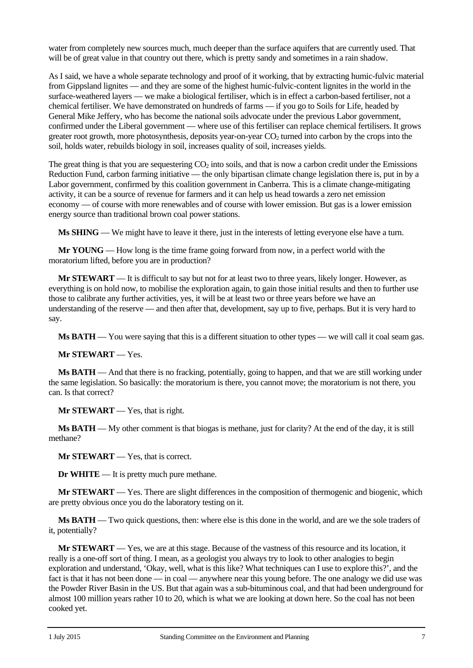water from completely new sources much, much deeper than the surface aquifers that are currently used. That will be of great value in that country out there, which is pretty sandy and sometimes in a rain shadow.

As I said, we have a whole separate technology and proof of it working, that by extracting humic-fulvic material from Gippsland lignites — and they are some of the highest humic-fulvic-content lignites in the world in the surface-weathered layers — we make a biological fertiliser, which is in effect a carbon-based fertiliser, not a chemical fertiliser. We have demonstrated on hundreds of farms — if you go to Soils for Life, headed by General Mike Jeffery, who has become the national soils advocate under the previous Labor government, confirmed under the Liberal government — where use of this fertiliser can replace chemical fertilisers. It grows greater root growth, more photosynthesis, deposits year-on-year  $CO<sub>2</sub>$  turned into carbon by the crops into the soil, holds water, rebuilds biology in soil, increases quality of soil, increases yields.

The great thing is that you are sequestering  $CO<sub>2</sub>$  into soils, and that is now a carbon credit under the Emissions Reduction Fund, carbon farming initiative — the only bipartisan climate change legislation there is, put in by a Labor government, confirmed by this coalition government in Canberra. This is a climate change-mitigating activity, it can be a source of revenue for farmers and it can help us head towards a zero net emission economy — of course with more renewables and of course with lower emission. But gas is a lower emission energy source than traditional brown coal power stations.

**Ms SHING** — We might have to leave it there, just in the interests of letting everyone else have a turn.

**Mr YOUNG** — How long is the time frame going forward from now, in a perfect world with the moratorium lifted, before you are in production?

**Mr STEWART** — It is difficult to say but not for at least two to three years, likely longer. However, as everything is on hold now, to mobilise the exploration again, to gain those initial results and then to further use those to calibrate any further activities, yes, it will be at least two or three years before we have an understanding of the reserve — and then after that, development, say up to five, perhaps. But it is very hard to say.

**Ms BATH** — You were saying that this is a different situation to other types — we will call it coal seam gas.

**Mr STEWART** — Yes.

**Ms BATH** — And that there is no fracking, potentially, going to happen, and that we are still working under the same legislation. So basically: the moratorium is there, you cannot move; the moratorium is not there, you can. Is that correct?

**Mr STEWART** — Yes, that is right.

**Ms BATH** — My other comment is that biogas is methane, just for clarity? At the end of the day, it is still methane?

**Mr STEWART** — Yes, that is correct.

**Dr WHITE** — It is pretty much pure methane.

**Mr STEWART** — Yes. There are slight differences in the composition of thermogenic and biogenic, which are pretty obvious once you do the laboratory testing on it.

**Ms BATH** — Two quick questions, then: where else is this done in the world, and are we the sole traders of it, potentially?

**Mr STEWART** — Yes, we are at this stage. Because of the vastness of this resource and its location, it really is a one-off sort of thing. I mean, as a geologist you always try to look to other analogies to begin exploration and understand, 'Okay, well, what is this like? What techniques can I use to explore this?', and the fact is that it has not been done — in coal — anywhere near this young before. The one analogy we did use was the Powder River Basin in the US. But that again was a sub-bituminous coal, and that had been underground for almost 100 million years rather 10 to 20, which is what we are looking at down here. So the coal has not been cooked yet.